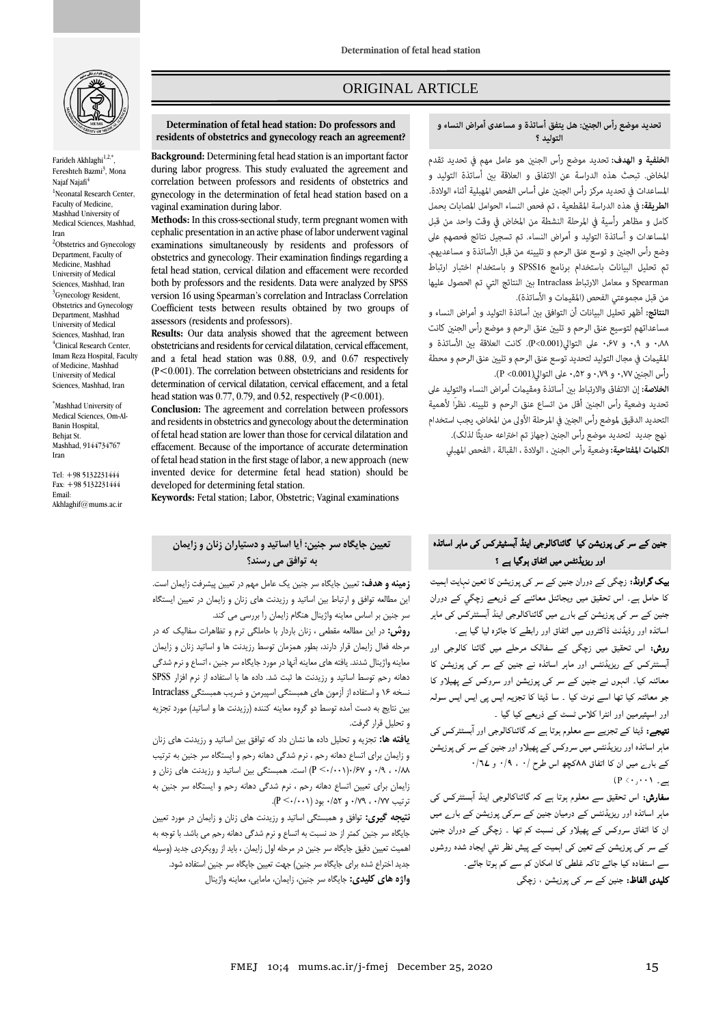

Farideh Akhlaghi<sup>1,2,\*</sup>, Fereshteh Bazmi<sup>3</sup>, Mona Najaf Najafi<sup>4</sup> <sup>1</sup>Neonatal Research Center. Faculty of Medicine, Mashhad University of Medical Sciences, Mashhad, Iran <sup>2</sup>Obstetrics and Gynecology Department, Faculty of Medicine, Mashhad University of Medical Sciences, Mashhad, Iran <sup>3</sup>Gynecology Resident. Obstetrics and Gynecology Department, Mashhad University of Medical Sciences, Mashhad, Iran 4 Clinical Research Center, Imam Reza Hospital, Faculty of Medicine, Mashhad

\*Mashhad University of Medical Sciences, Om-Al-Banin Hospital, Behjat St. Mashhad, 9144734767 Iran

University of Medical Sciences, Mashhad, Iran

Tel: +98 5132231444 Fax: +98 5132231444 Email: Akhlaghif@mums.ac.ir

# ORIGINAL ARTICLE

#### **Determination of fetal head station: Do professors and residents of obstetrics and gynecology reach an agreement?**

**Background:** Determining fetal head station is an important factor during labor progress. This study evaluated the agreement and correlation between professors and residents of obstetrics and gynecology in the determination of fetal head station based on a vaginal examination during labor.

**Methods:** In this cross-sectional study, term pregnant women with cephalic presentation in an active phase of labor underwent vaginal examinations simultaneously by residents and professors of obstetrics and gynecology. Their examination findings regarding a fetal head station, cervical dilation and effacement were recorded both by professors and the residents. Data were analyzed by SPSS version 16 using Spearman's correlation and Intraclass Correlation Coefficient tests between results obtained by two groups of assessors (residents and professors).

**Results:** Our data analysis showed that the agreement between obstetricians and residents for cervical dilatation, cervical effacement, and a fetal head station was 0.88, 0.9, and 0.67 respectively (P<0.001). The correlation between obstetricians and residents for determination of cervical dilatation, cervical effacement, and a fetal head station was 0.77, 0.79, and 0.52, respectively  $(P<0.001)$ .

**Conclusion:** The agreement and correlation between professors and residents in obstetrics and gynecology about the determination of fetal head station are lower than those for cervical dilatation and effacement. Because of the importance of accurate determination of fetal head station in the first stage of labor, a new approach (new invented device for determine fetal head station) should be developed for determining fetal station.

**Keywords:** Fetal station; [Labor, Obstetric;](https://www.ncbi.nlm.nih.gov/mesh/68007743) Vaginal examinations

# **تعیین جایگاه سر جنین: آیا اساتید و دستیاران زنان و زایمان به توافق می رسند؟**

**زمینه و هدف:** تعیین جایگاه سر جنین یک عامل مهم در تعیین پیشرفت زایمان است. این مطالعه توافق و ارتباط بین اساتید و رزیدنت های زنان و زایمان در تعیین ایستگاه سر جنین بر اساس معاینه واژینال هنگام زایمان را بررسی می کند.

**روش:** در این مطالعه مقطعی ، زنان باردار با حاملگی ترم و تظاهرات سفالیک که در مرحله فعال زایمان قرار دارند، بطور همزمان توسط رزیدنت ها و اساتید زنان و زایمان معاینه واژینال شدند. یافته های معاینه آنها در مورد جایگاه سر جنین ، اتساع و نرم شدگی دهانه رحم توسط اساتید و رزیدنت ها ثبت شد. داده ها با استفاده از نرم افزار SPSS نسخه 16 و استفاده از آزمون های همبستگی اسپیرمن و ضریب همبستگی Intraclass بین نتایج به دست آمده توسط دو گروه معاینه کننده (رزیدنت ها و اساتید) مورد تجزیه و تحلیل قرار گرفت.

**یافته ها:** تجزیه و تحلیل داده ها نشان داد که توافق بین اساتید و رزیدنت های زنان و زایمان برای اتساع دهانه رحم ، نرم شدگی دهانه رحم و ایستگاه سر جنین به ترتیب 0/88 ، 0/9 و 0/67)0/001< P )است. همبستگی بین اساتید و رزیدنت های زنان و زایمان برای تعیین اتساع دهانه رحم ، نرم شدگی دهانه رحم و ایستگاه سر جنین به ترتیب 0/77 ، 0/79 و 0/52 بود )0/001< P).

**نتیجه گیري:** توافق و همبستگی اساتید و رزیدنت های زنان و زایمان در مورد تعیین جایگاه سر جنین کمتر از حد نسبت به اتساع و نرم شدگی دهانه رحم می باشد. با توجه به اهمیت تعیین دقیق جایگاه سر جنین در مرحله اول زایمان ، باید از رویکردی جدید )وسیله جدید اختراع شده برای جایگاه سر جنین) جهت تعیین جایگاه سر جنین استفاده شود. **واژه هاي کلیدي:** جایگاه سر جنین، زایمان، مامایی، معاینه واژینال

## تحديد موضع رأس الجنين: هل يتفق أساتذة و مساعدى أمراض النساء و التمليد ؟

ص

الخلفية و الهدف: تحديد موضع رأس الجنين هو عامل مهم في تحديد تقدم المخاض. تبحث هذه الدراسة عن الاتفاق و العلاقة بين أساتذة التوليد و المساعدات في تحديد مركز رأس الجنين على أساس الفحص المهبلية أثناء الولادة. ا**لطريقة:** في هذه الدراسة المقطعية ، تم فحص النساء الحوامل المصابات بحمل كامل و مظاهر رأسية في المرحلة النشطة من المخاض في وقت واحد من قبل المساعدات و أساتذة التوليد و أمراض النساء. تم تسجيل نتائج فحصهم على وضع رأس الجنين و توسع عنق الرحم و تليينه من قبل الأساتذة و مساعديهم. تم تحليل البيانات باستخدام برنامج SPSS16 وباستخدام اختبار ارتباط Spearman و معامل الارتباط Intraclass بين النتائج التي تم الحصول عليها من قبل مجموعتي الفحص (المقيمات و الأساتذة).

النتائج: أظهر تحليل البيانات أن التوافق بين أساتذة التوليد و أمراض النساء و مساعداتهم لتوسيع عنق الرحم و تليين عنق الرحم و موضع رأس الجنين كانت ٠٫٨٨ و ٠٫٩ و ٠٫۶٧ على التوالي(P<0.001). كانت العلاقة بين الأساتذة و المقيمات في مجال التوليد لتحديد توسع عنق الرحم و تليين عنق الرحم و محطة رأس الجنين ٠,٧٧ و ٠,٧٩ و ٠,٥٢ على التوالي(0.001> P).

الخلاصة: إن الاتفاق والارتباط بين أساتذة ومقيمات أمراض النساء والتوليد على تحديد وضعية رأس الجنين أقل من اتساع عنق الرحم و تليينه. نظراً لأهمية التحديد الدقيق لموضع رأس الجنين في المرحلة الأولى من المخاض، يجب استخدام نهج جديد التحديد موضع رأس الجنبن (جهاز تم اختراعه حديثًا لذلك). **الكلمات المفتاحية:** وضعية رأس الجنين ، الولادة ، القبالة ، الفحص المهبلي

# جنین کے سر کی پوزیشن کیا گائناکالوجی اینڈ آبسٹیٹرکس کی ماہر اساتذہ اور ریزیڈنٹس میں اتفاق ہوگيا ہے ؟

بیک گراونڈ: زچگی کے دوران جنین کے سر کی پوزیشن کا تعین نہایت اہمیت کا حامل ہے۔ اس تحقیق میں ویجائنل معائنے کے ذریعے زچگي کے دوران جنین کے سر کی پوزیشن کے بارے میں گائناکالوجی اینڈ ا بسٹٹرکس کی ماہر اساتذہ اور رذیڈنٹ ڈاکٹروں میں اتفاق اور رابطے کا جائزہ لیا گيا ہے۔

روش: اس تحقیق میں زچگی کے سفالک مرحلے میں گائنا کالوجی اور ا بسٹٹرکس کے ریزیڈنٹس اور ماہر اساتذہ نے جنین کے سر کی پوزیشن کا معائنہ کیا۔ انہوں نے جنین کے سر کی پوزیشن اور سروکس کے پھیلاو کا جو معائنہ کیا تھا اسے نوٹ کیا ۔ سا ڈیٹا کا تجزیہ ایس پی ایس ایس سولہ اور اسپئيرمین اور انٹرا کلاس ٹسٹ کے ذریعے کیا گيا ۔

۔<br>**نتیجے:** ڈیٹا کے تجزیے سے معلوم ہوتا ہے کہ گائناکالوجی اور آبسٹٹرکس کی ماہر اساتذہ اور ریزیڈنٹس میں سروکس کے پھیلاو اور جنین کے سر کی پوزیشن کے بارے میں ان کا اتفاق ۸۸کچھ اس طرح /۰ ، ۰/۹ و 7L/  $(P \leftrightarrow \cdots)$ 

سفارش: اس تحقیق سے معلوم ہوتا ہے کہ گائناکالوجی اینڈ ا بسٹٹرکس کی ماہر اساتذہ اور ریزیڈنٹس کے درمیان جنین کے سرکی پوزیشن کے بارے میں ان کا اتفاق سروکس کے پھیلاو کی نسبت کم تھا ۔ زچگی کے دوران جنین کے سر کی پوزیشن کے تعین کی اہمیت کے پیش نظر نئي ایجاد شدہ روشوں سے استفادہ کیا جائے تاکہ غلطی کا امکان کم سے کم ہوتا جائے۔ کلیدی الفاظ: جنین کے سر کی پوزیشن ، زچگی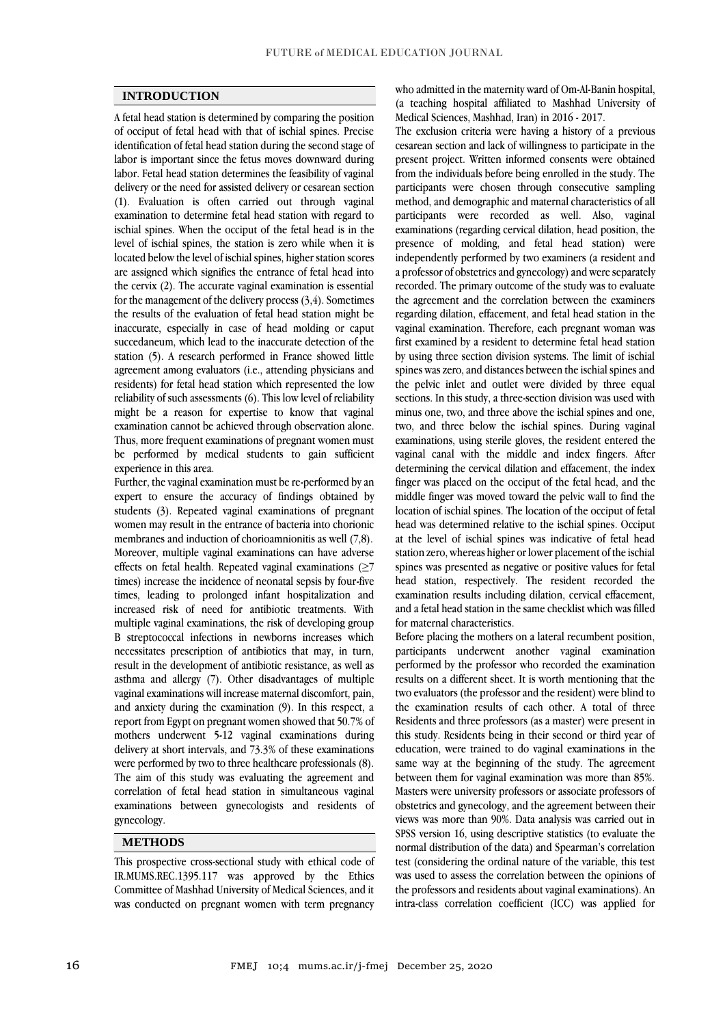## **INTRODUCTION**

A fetal head station is determined by comparing the position of occiput of fetal head with that of ischial spines. Precise identification of fetal head station during the second stage of labor is important since the fetus moves downward during labor. Fetal head station determines the feasibility of vaginal delivery or the need for assisted delivery or cesarean section (1). Evaluation is often carried out through vaginal examination to determine fetal head station with regard to ischial spines. When the occiput of the fetal head is in the level of ischial spines, the station is zero while when it is located below the level of ischial spines, higher station scores are assigned which signifies the entrance of fetal head into the cervix (2). The accurate vaginal examination is essential for the management of the delivery process (3,4). Sometimes the results of the evaluation of fetal head station might be inaccurate, especially in case of head molding or caput succedaneum, which lead to the inaccurate detection of the station (5). A research performed in France showed little agreement among evaluators (i.e., attending physicians and residents) for fetal head station which represented the low reliability of such assessments (6). This low level of reliability might be a reason for expertise to know that vaginal examination cannot be achieved through observation alone. Thus, more frequent examinations of pregnant women must be performed by medical students to gain sufficient experience in this area.

Further, the vaginal examination must be re-performed by an expert to ensure the accuracy of findings obtained by students (3). Repeated vaginal examinations of pregnant women may result in the entrance of bacteria into chorionic membranes and induction of chorioamnionitis as well (7,8). Moreover, multiple vaginal examinations can have adverse effects on fetal health. Repeated vaginal examinations  $(≥7)$ times) increase the incidence of neonatal sepsis by four-five times, leading to prolonged infant hospitalization and increased risk of need for antibiotic treatments. With multiple vaginal examinations, the risk of developing group B streptococcal infections in newborns increases which necessitates prescription of antibiotics that may, in turn, result in the development of antibiotic resistance, as well as asthma and allergy (7). Other disadvantages of multiple vaginal examinations will increase maternal discomfort, pain, and anxiety during the examination (9). In this respect, a report from Egypt on pregnant women showed that 50.7% of mothers underwent 5-12 vaginal examinations during delivery at short intervals, and 73.3% of these examinations were performed by two to three healthcare professionals (8). The aim of this study was evaluating the agreement and correlation of fetal head station in simultaneous vaginal examinations between gynecologists and residents of gynecology.

# **METHODS**

This prospective cross-sectional study with ethical code of IR.MUMS.REC.1395.117 was approved by the Ethics Committee of Mashhad University of Medical Sciences, and it was conducted on pregnant women with term pregnancy

who admitted in the maternity ward of Om-Al-Banin hospital, (a teaching hospital affiliated to Mashhad University of Medical Sciences, Mashhad, Iran) in 2016 - 2017.

The exclusion criteria were having a history of a previous cesarean section and lack of willingness to participate in the present project. Written informed consents were obtained from the individuals before being enrolled in the study. The participants were chosen through consecutive sampling method, and demographic and maternal characteristics of all participants were recorded as well. Also, vaginal examinations (regarding cervical dilation, head position, the presence of molding, and fetal head station) were independently performed by two examiners (a resident and a professor of obstetrics and gynecology) and were separately recorded. The primary outcome of the study was to evaluate the agreement and the correlation between the examiners regarding dilation, effacement, and fetal head station in the vaginal examination. Therefore, each pregnant woman was first examined by a resident to determine fetal head station by using three section division systems. The limit of ischial spines was zero, and distances between the ischial spines and the pelvic inlet and outlet were divided by three equal sections. In this study, a three-section division was used with minus one, two, and three above the ischial spines and one, two, and three below the ischial spines. During vaginal examinations, using sterile gloves, the resident entered the vaginal canal with the middle and index fingers. After determining the cervical dilation and effacement, the index finger was placed on the occiput of the fetal head, and the middle finger was moved toward the pelvic wall to find the location of ischial spines. The location of the occiput of fetal head was determined relative to the ischial spines. Occiput at the level of ischial spines was indicative of fetal head station zero, whereas higher or lower placement of the ischial spines was presented as negative or positive values for fetal head station, respectively. The resident recorded the examination results including dilation, cervical effacement, and a fetal head station in the same checklist which was filled for maternal characteristics.

Before placing the mothers on a lateral recumbent position, participants underwent another vaginal examination performed by the professor who recorded the examination results on a different sheet. It is worth mentioning that the two evaluators (the professor and the resident) were blind to the examination results of each other. A total of three Residents and three professors (as a master) were present in this study. Residents being in their second or third year of education, were trained to do vaginal examinations in the same way at the beginning of the study. The agreement between them for vaginal examination was more than 85%. Masters were university professors or associate professors of obstetrics and gynecology, and the agreement between their views was more than 90%. Data analysis was carried out in SPSS version 16, using descriptive statistics (to evaluate the normal distribution of the data) and Spearman's correlation test (considering the ordinal nature of the variable, this test was used to assess the correlation between the opinions of the professors and residents about vaginal examinations). An intra-class correlation coefficient (ICC) was applied for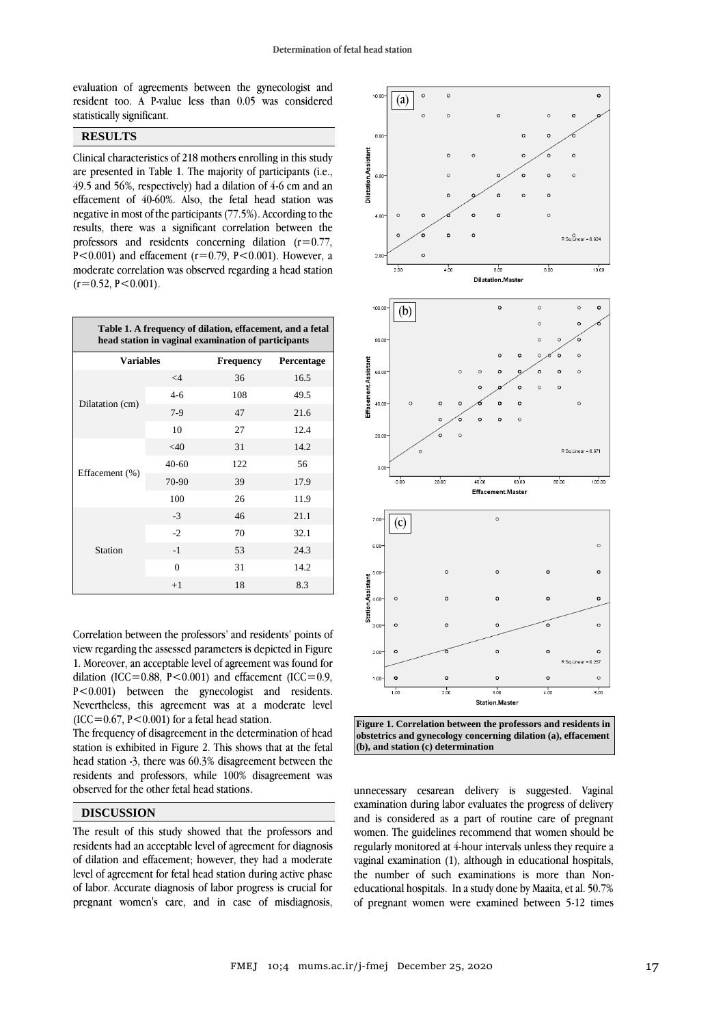evaluation of agreements between the gynecologist and resident too. A P-value less than 0.05 was considered statistically significant.

### **RESULTS**

Clinical characteristics of 218 mothers enrolling in this study are presented in Table 1. The majority of participants (i.e., 49.5 and 56%, respectively) had a dilation of 4-6 cm and an effacement of 40-60%. Also, the fetal head station was negative in most of the participants (77.5%). According to the results, there was a significant correlation between the professors and residents concerning dilation  $(r=0.77)$ , P<0.001) and effacement ( $r=0.79$ , P<0.001). However, a moderate correlation was observed regarding a head station  $(r=0.52, P<0.001)$ .

| Table 1. A frequency of dilation, effacement, and a fetal<br>head station in vaginal examination of participants |                |                  |            |
|------------------------------------------------------------------------------------------------------------------|----------------|------------------|------------|
| <b>Variables</b>                                                                                                 |                | <b>Frequency</b> | Percentage |
| Dilatation (cm)                                                                                                  | $\leq 4$       | 36               | 16.5       |
|                                                                                                                  | $4-6$          | 108              | 49.5       |
|                                                                                                                  | $7-9$          | 47               | 21.6       |
|                                                                                                                  | 10             | 27               | 12.4       |
| Effacement (%)                                                                                                   | $<$ 40         | 31               | 14.2       |
|                                                                                                                  | $40 - 60$      | 122              | 56         |
|                                                                                                                  | 70-90          | 39               | 17.9       |
|                                                                                                                  | 100            | 26               | 11.9       |
| Station                                                                                                          | $-3$           | 46               | 21.1       |
|                                                                                                                  | $-2$           | 70               | 32.1       |
|                                                                                                                  | $-1$           | 53               | 24.3       |
|                                                                                                                  | $\overline{0}$ | 31               | 14.2       |
|                                                                                                                  | $+1$           | 18               | 8.3        |

Correlation between the professors' and residents' points of view regarding the assessed parameters is depicted in Figure 1. Moreover, an acceptable level of agreement was found for dilation (ICC=0.88,  $P \le 0.001$ ) and effacement (ICC=0.9, P<0.001) between the gynecologist and residents. Nevertheless, this agreement was at a moderate level (ICC=0.67, P<0.001) for a fetal head station.

The frequency of disagreement in the determination of head station is exhibited in Figure 2. This shows that at the fetal head station -3, there was 60.3% disagreement between the residents and professors, while 100% disagreement was observed for the other fetal head stations.

# **DISCUSSION**

The result of this study showed that the professors and residents had an acceptable level of agreement for diagnosis of dilation and effacement; however, they had a moderate level of agreement for fetal head station during active phase of labor. Accurate diagnosis of labor progress is crucial for pregnant women's care, and in case of misdiagnosis,



**Figure 1. Correlation between the professors and residents in obstetrics and gynecology concerning dilation (a), effacement (b), and station (c) determination**

unnecessary cesarean delivery is suggested. Vaginal examination during labor evaluates the progress of delivery and is considered as a part of routine care of pregnant women. The guidelines recommend that women should be regularly monitored at 4-hour intervals unless they require a vaginal examination (1), although in educational hospitals, the number of such examinations is more than Noneducational hospitals. In a study done by Maaita, et al. 50.7% of pregnant women were examined between 5-12 times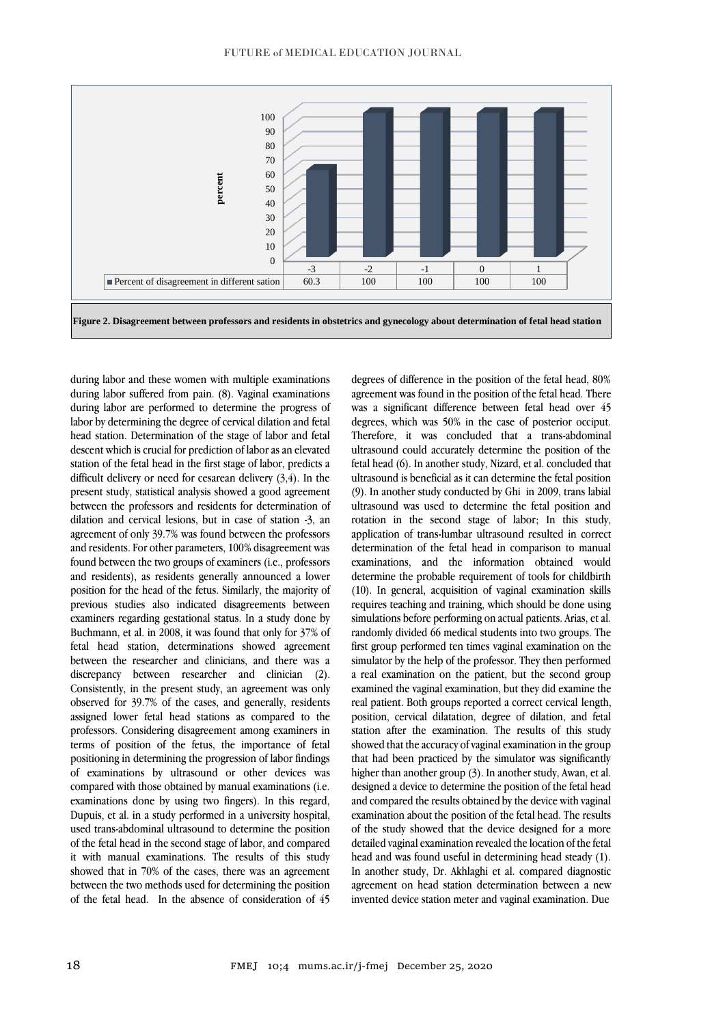

during labor and these women with multiple examinations during labor suffered from pain. (8). Vaginal examinations during labor are performed to determine the progress of labor by determining the degree of cervical dilation and fetal head station. Determination of the stage of labor and fetal descent which is crucial for prediction of labor as an elevated station of the fetal head in the first stage of labor, predicts a difficult delivery or need for cesarean delivery (3,4). In the present study, statistical analysis showed a good agreement between the professors and residents for determination of dilation and cervical lesions, but in case of station -3, an agreement of only 39.7% was found between the professors and residents. For other parameters, 100% disagreement was found between the two groups of examiners (i.e., professors and residents), as residents generally announced a lower position for the head of the fetus. Similarly, the majority of previous studies also indicated disagreements between examiners regarding gestational status. In a study done by Buchmann, et al. in 2008, it was found that only for 37% of fetal head station, determinations showed agreement between the researcher and clinicians, and there was a discrepancy between researcher and clinician (2). Consistently, in the present study, an agreement was only observed for 39.7% of the cases, and generally, residents assigned lower fetal head stations as compared to the professors. Considering disagreement among examiners in terms of position of the fetus, the importance of fetal positioning in determining the progression of labor findings of examinations by ultrasound or other devices was compared with those obtained by manual examinations (i.e. examinations done by using two fingers). In this regard, Dupuis, et al. in a study performed in a university hospital, used trans-abdominal ultrasound to determine the position of the fetal head in the second stage of labor, and compared it with manual examinations. The results of this study showed that in 70% of the cases, there was an agreement between the two methods used for determining the position of the fetal head. In the absence of consideration of 45

degrees of difference in the position of the fetal head, 80% agreement was found in the position of the fetal head. There was a significant difference between fetal head over 45 degrees, which was 50% in the case of posterior occiput. Therefore, it was concluded that a trans-abdominal ultrasound could accurately determine the position of the fetal head (6). In another study, Nizard, et al. concluded that ultrasound is beneficial as it can determine the fetal position (9). In another study conducted by Ghi in 2009, trans labial ultrasound was used to determine the fetal position and rotation in the second stage of labor; In this study, application of trans-lumbar ultrasound resulted in correct determination of the fetal head in comparison to manual examinations, and the information obtained would determine the probable requirement of tools for childbirth (10). In general, acquisition of vaginal examination skills requires teaching and training, which should be done using simulations before performing on actual patients. Arias, et al. randomly divided 66 medical students into two groups. The first group performed ten times vaginal examination on the simulator by the help of the professor. They then performed a real examination on the patient, but the second group examined the vaginal examination, but they did examine the real patient. Both groups reported a correct cervical length, position, cervical dilatation, degree of dilation, and fetal station after the examination. The results of this study showed that the accuracy of vaginal examination in the group that had been practiced by the simulator was significantly higher than another group (3). In another study, Awan, et al. designed a device to determine the position of the fetal head and compared the results obtained by the device with vaginal examination about the position of the fetal head. The results of the study showed that the device designed for a more detailed vaginal examination revealed the location of the fetal head and was found useful in determining head steady (1). In another study, Dr. Akhlaghi et al. compared diagnostic agreement on head station determination between a new invented device station meter and vaginal examination. Due